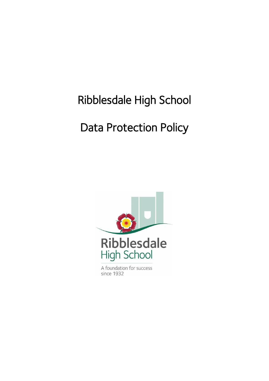# Ribblesdale High School

# Data Protection Policy

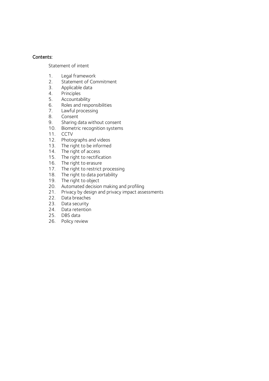#### Contents:

[Statement of intent](#page-2-0)

- 1. [Legal framework](#page-3-0)
- 2. Statement of Commitment<br>3. Applicable data
- 3. [Applicable data](#page-3-1)<br>4. Principles
- 4. [Principles](#page-4-0)<br>5. Accountal
- [Accountability](#page-5-0)
- 6. [Roles](#page-6-0) and responsibilities
- 7. [Lawful processing](#page-7-0)
- 8. [Consent](#page-8-0)
- 9. [Sharing data without consent](#page-9-0)
- 10. Biometric recognition systems
- 11. CCTV
- 12. Photographs and videos
- 13. [The right to be informed](#page-9-0)
- 14. [The right of access](#page-13-0)
- 15. [The right to rectification](#page-14-0)
- 16. [The right to erasure](#page-14-1)
- 17. [The right to restrict processing](#page-15-0)
- 18. [The right to data portability](#page-16-0)
- 19. [The right to object](#page-17-0)
- 20. [Automated decision making and profiling](#page-18-0)
- 21. [Privacy by design and privacy impact assessments](#page-18-1)
- 22. [Data breaches](#page-19-0)
- 23. [Data security](#page-20-0)
- 24. [Data retention](#page-21-0)
- 25. [DBS data](#page-22-0)
- 26. [Policy review](#page-22-1)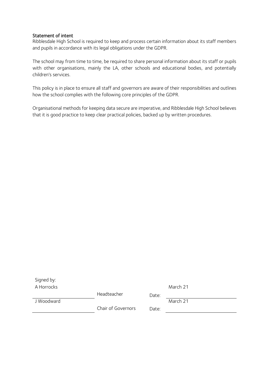#### <span id="page-2-0"></span>Statement of intent

Ribblesdale High School is required to keep and process certain information about its staff members and pupils in accordance with its legal obligations under the GDPR.

The school may from time to time, be required to share personal information about its staff or pupils with other organisations, mainly the LA, other schools and educational bodies, and potentially children's services.

This policy is in place to ensure all staff and governors are aware of their responsibilities and outlines how the school complies with the following core principles of the GDPR.

Organisational methods for keeping data secure are imperative, and Ribblesdale High School believes that it is good practice to keep clear practical policies, backed up by written procedures.

| Signed by: |                    |       |          |
|------------|--------------------|-------|----------|
| A Horrocks |                    |       | March 21 |
|            | Headteacher        | Date: |          |
| J Woodward |                    |       | March 21 |
|            | Chair of Governors | Date: |          |
|            |                    |       |          |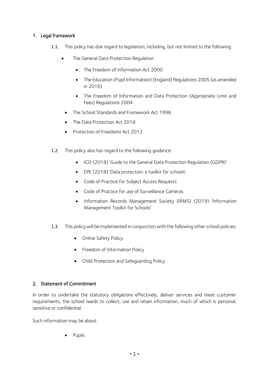# <span id="page-3-0"></span>1. Legal framework

- 1.1. This policy has due regard to legislation, including, but not limited to the following:
	- The General Data Protection Regulation
		- The Freedom of Information Act 2000
		- The Education (Pupil Information) (England) Regulations 2005 (as amended in 2016)
		- The Freedom of Information and Data Protection (Appropriate Limit and Fees) Regulations 2004
	- The School Standards and Framework Act 1998
	- The Data Protection Act 2018
	- Protection of Freedoms Act 2012
- 1.2. This policy also has regard to the following guidance:
	- ICO (2018) 'Guide to the General Data Protection Regulation (GDPR)'
	- DfE (2018) 'Data protection: a toolkit for schools'
	- Code of Practice for Subject Access Requests
	- Code of Practice for use of Surveillance Cameras
	- Information Records Management Society (IRMS) (2019) 'Information Management Toolkit for Schools'
- 1.3. This policy will be implemented in conjunction with the following other school policies:
	- Online Safety Policy
	- Freedom of Information Policy
	- Child Protection and Safeguarding Policy

# <span id="page-3-1"></span>2. Statement of Commitment

In order to undertake the statutory obligations effectively, deliver services and meet customer requirements, the school needs to collect, use and retain information, much of which is personal, sensitive or confidential.

Such information may be about:

• Pupils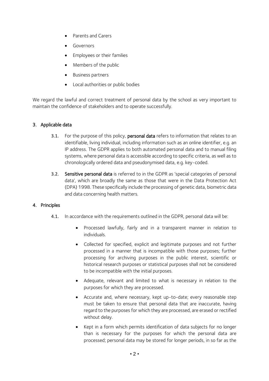- Parents and Carers
- Governors
- Employees or their families
- Members of the public
- Business partners
- Local authorities or public bodies

We regard the lawful and correct treatment of personal data by the school as very important to maintain the confidence of stakeholders and to operate successfully.

## 3. Applicable data

- 3.1. For the purpose of this policy, personal data refers to information that relates to an identifiable, living individual, including information such as an online identifier, e.g. an IP address. The GDPR applies to both automated personal data and to manual filing systems, where personal data is accessible according to specific criteria, as well as to chronologically ordered data and pseudonymised data, e.g. key-coded.
- 3.2. Sensitive personal data is referred to in the GDPR as 'special categories of personal data', which are broadly the same as those that were in the Data Protection Act (DPA) 1998. These specifically include the processing of genetic data, biometric data and data concerning health matters.

#### <span id="page-4-0"></span>4. Principles

- 4.1. In accordance with the requirements outlined in the GDPR, personal data will be:
	- Processed lawfully, fairly and in a transparent manner in relation to individuals.
	- Collected for specified, explicit and legitimate purposes and not further processed in a manner that is incompatible with those purposes; further processing for archiving purposes in the public interest, scientific or historical research purposes or statistical purposes shall not be considered to be incompatible with the initial purposes.
	- Adequate, relevant and limited to what is necessary in relation to the purposes for which they are processed.
	- Accurate and, where necessary, kept up-to-date; every reasonable step must be taken to ensure that personal data that are inaccurate, having regard to the purposes for which they are processed, are erased or rectified without delay.
	- Kept in a form which permits identification of data subjects for no longer than is necessary for the purposes for which the personal data are processed; personal data may be stored for longer periods, in so far as the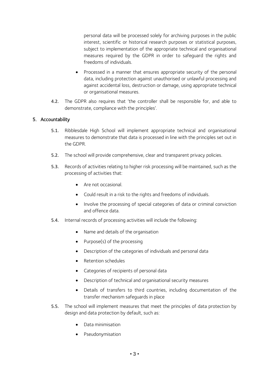personal data will be processed solely for archiving purposes in the public interest, scientific or historical research purposes or statistical purposes, subject to implementation of the appropriate technical and organisational measures required by the GDPR in order to safeguard the rights and freedoms of individuals.

- Processed in a manner that ensures appropriate security of the personal data, including protection against unauthorised or unlawful processing and against accidental loss, destruction or damage, using appropriate technical or organisational measures.
- 4.2. The GDPR also requires that 'the controller shall be responsible for, and able to demonstrate, compliance with the principles'.

## <span id="page-5-0"></span>5. Accountability

- 5.1. Ribblesdale High School will implement appropriate technical and organisational measures to demonstrate that data is processed in line with the principles set out in the GDPR.
- 5.2. The school will provide comprehensive, clear and transparent privacy policies.
- 5.3. Records of activities relating to higher risk processing will be maintained, such as the processing of activities that:
	- Are not occasional
	- Could result in a risk to the rights and freedoms of individuals.
	- Involve the processing of special categories of data or criminal conviction and offence data.
- 5.4. Internal records of processing activities will include the following:
	- Name and details of the organisation
	- Purpose(s) of the processing
	- Description of the categories of individuals and personal data
	- Retention schedules
	- Categories of recipients of personal data
	- Description of technical and organisational security measures
	- Details of transfers to third countries, including documentation of the transfer mechanism safeguards in place
- 5.5. The school will implement measures that meet the principles of data protection by design and data protection by default, such as:
	- Data minimisation
	- Pseudonymisation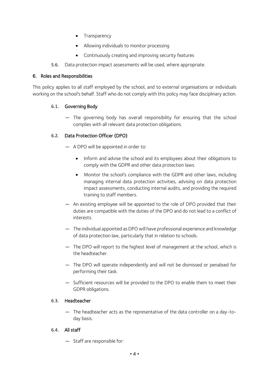- Transparency
- Allowing individuals to monitor processing
- Continuously creating and improving security features
- 5.6. Data protection impact assessments will be used, where appropriate.

## <span id="page-6-0"></span>6. Roles and Responsibilities

This policy applies to all staff employed by the school, and to external organisations or individuals working on the school's behalf. Staff who do not comply with this policy may face disciplinary action.

# 6.1. Governing Body

— The governing body has overall responsibility for ensuring that the school complies with all relevant data protection obligations.

## 6.2. Data Protection Officer (DPO)

- A DPO will be appointed in order to:
	- Inform and advise the school and its employees about their obligations to comply with the GDPR and other data protection laws.
	- Monitor the school's compliance with the GDPR and other laws, including managing internal data protection activities, advising on data protection impact assessments, conducting internal audits, and providing the required training to staff members.
- An existing employee will be appointed to the role of DPO provided that their duties are compatible with the duties of the DPO and do not lead to a conflict of interests.
- The individual appointed as DPO will have professional experience and knowledge of data protection law, particularly that in relation to schools.
- The DPO will report to the highest level of management at the school, which is the headteacher.
- The DPO will operate independently and will not be dismissed or penalised for performing their task.
- Sufficient resources will be provided to the DPO to enable them to meet their GDPR obligations.

#### 6.3. Headteacher

— The headteacher acts as the representative of the data controller on a day-today basis.

# 6.4. All staff

— Staff are responsible for: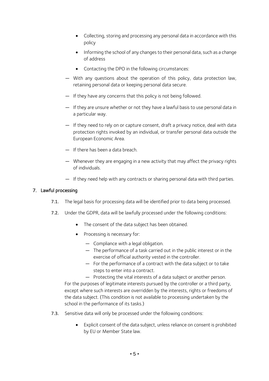- Collecting, storing and processing any personal data in accordance with this policy
- Informing the school of any changes to their personal data, such as a change of address
- Contacting the DPO in the following circumstances:
- With any questions about the operation of this policy, data protection law, retaining personal data or keeping personal data secure.
- If they have any concerns that this policy is not being followed.
- If they are unsure whether or not they have a lawful basis to use personal data in a particular way.
- If they need to rely on or capture consent, draft a privacy notice, deal with data protection rights invoked by an individual, or transfer personal data outside the European Economic Area.
- If there has been a data breach.
- Whenever they are engaging in a new activity that may affect the privacy rights of individuals.
- If they need help with any contracts or sharing personal data with third parties.

## <span id="page-7-0"></span>7. Lawful processing

- 7.1. The legal basis for processing data will be identified prior to data being processed.
- 7.2. Under the GDPR, data will be lawfully processed under the following conditions:
	- The consent of the data subject has been obtained.
	- Processing is necessary for:
		- Compliance with a legal obligation.
		- The performance of a task carried out in the public interest or in the exercise of official authority vested in the controller.
		- For the performance of a contract with the data subject or to take steps to enter into a contract.

— Protecting the vital interests of a data subject or another person. For the purposes of legitimate interests pursued by the controller or a third party, except where such interests are overridden by the interests, rights or freedoms of the data subject. (This condition is not available to processing undertaken by the school in the performance of its tasks.)

- 7.3. Sensitive data will only be processed under the following conditions:
	- Explicit consent of the data subject, unless reliance on consent is prohibited by EU or Member State law.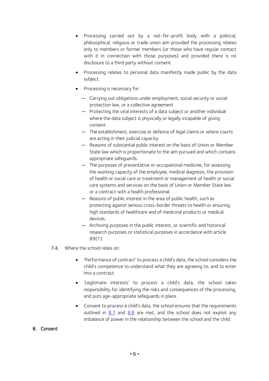- Processing carried out by a not-for-profit body with a political, philosophical, religious or trade union aim provided the processing relates only to members or former members (or those who have regular contact with it in connection with those purposes) and provided there is no disclosure to a third party without consent.
- Processing relates to personal data manifestly made public by the data subject.
- Processing is necessary for:
	- Carrying out obligations under employment, social security or social protection law, or a collective agreement.
	- Protecting the vital interests of a data subject or another individual where the data subject is physically or legally incapable of giving consent.
	- The establishment, exercise or defence of legal claims or where courts are acting in their judicial capacity.
	- Reasons of substantial public interest on the basis of Union or Member State law which is proportionate to the aim pursued and which contains appropriate safeguards.
	- The purposes of preventative or occupational medicine, for assessing the working capacity of the employee, medical diagnosis, the provision of health or social care or treatment or management of health or social care systems and services on the basis of Union or Member State law or a contract with a health professional.
	- Reasons of public interest in the area of public health, such as protecting against serious cross-border threats to health or ensuring high standards of healthcare and of medicinal products or medical devices.
	- Archiving purposes in the public interest, or scientific and historical research purposes or statistical purposes in accordance with article 89(1).
- 7.4. Where the school relies on:
	- 'Performance of contract' to process a child's data, the school considers the child's competence to understand what they are agreeing to, and to enter into a contract.
	- 'Legitimate interests' to process a child's data, the school takes responsibility for identifying the risks and consequences of the processing, and puts age-appropriate safeguards in place.
	- Consent to process a child's data, the school ensures that the requirements outlined in  $8.7$  and  $8.8$  are met, and the school does not exploit any imbalance of power in the relationship between the school and the child.
- <span id="page-8-0"></span>8. Consent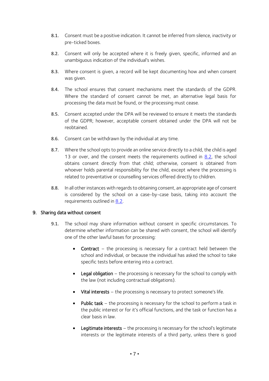- 8.1. Consent must be a positive indication. It cannot be inferred from silence, inactivity or pre-ticked boxes.
- <span id="page-9-3"></span>8.2. Consent will only be accepted where it is freely given, specific, informed and an unambiguous indication of the individual's wishes.
- 8.3. Where consent is given, a record will be kept documenting how and when consent was given.
- 8.4. The school ensures that consent mechanisms meet the standards of the GDPR. Where the standard of consent cannot be met, an alternative legal basis for processing the data must be found, or the processing must cease.
- 8.5. Consent accepted under the DPA will be reviewed to ensure it meets the standards of the GDPR; however, acceptable consent obtained under the DPA will not be reobtained.
- 8.6. Consent can be withdrawn by the individual at any time.
- <span id="page-9-1"></span>8.7. Where the school opts to provide an online service directly to a child, the child is aged 13 or over, and the consent meets the requirements outlined in [8.2,](#page-9-3) the school obtains consent directly from that child; otherwise, consent is obtained from whoever holds parental responsibility for the child, except where the processing is related to preventative or counselling services offered directly to children.
- <span id="page-9-2"></span>8.8. In all other instances with regards to obtaining consent, an appropriate age of consent is considered by the school on a case-by-case basis, taking into account the requirements outlined in [8.2.](#page-9-3)

# <span id="page-9-0"></span>9. Sharing data without consent

- 9.1. The school may share information without consent in specific circumstances. To determine whether information can be shared with consent, the school will identify one of the other lawful bases for processing:
	- Contract the processing is necessary for a contract held between the school and individual, or because the individual has asked the school to take specific tests before entering into a contract.
	- Legal obligation the processing is necessary for the school to comply with the law (not including contractual obligations).
	- Vital interests the processing is necessary to protect someone's life.
	- **Public task** the processing is necessary for the school to perform a task in the public interest or for it's official functions, and the task or function has a clear basis in law.
	- Legitimate interests the processing is necessary for the school's legitimate interests or the legitimate interests of a third party, unless there is good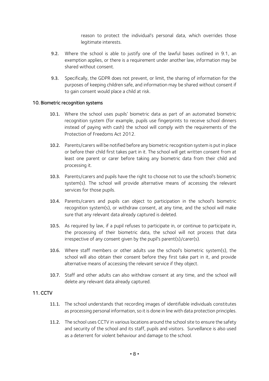reason to protect the individual's personal data, which overrides those legitimate interests.

- 9.2. Where the school is able to justify one of the lawful bases outlined in 9.1, an [exemption](https://ico.org.uk/for-organisations/guide-to-the-general-data-protection-regulation-gdpr/exemptions/) applies, or there is a requirement under another law, information may be shared without consent.
- 9.3. Specifically, the GDPR does not prevent, or limit, the sharing of information for the purposes of keeping children safe, and information may be shared without consent if to gain consent would place a child at risk.

## 10. Biometric recognition systems

- 10.1. Where the school uses pupils' biometric data as part of an automated biometric recognition system (for example, pupils use fingerprints to receive school dinners instead of paying with cash) the school will comply with the requirements of the Protection of Freedoms Act 2012.
- 10.2. Parents/carers will be notified before any biometric recognition system is put in place or before their child first takes part in it. The school will get written consent from at least one parent or carer before taking any biometric data from their child and processing it.
- 10.3. Parents/carers and pupils have the right to choose not to use the school's biometric system(s). The school will provide alternative means of accessing the relevant services for those pupils.
- 10.4. Parents/carers and pupils can object to participation in the school's biometric recognition system(s), or withdraw consent, at any time, and the school will make sure that any relevant data already captured is deleted.
- 10.5. As required by law, if a pupil refuses to participate in, or continue to participate in, the processing of their biometric data, the school will not process that data irrespective of any consent given by the pupil's parent(s)/carer(s).
- 10.6. Where staff members or other adults use the school's biometric system(s), the school will also obtain their consent before they first take part in it, and provide alternative means of accessing the relevant service if they object.
- 10.7. Staff and other adults can also withdraw consent at any time, and the school will delete any relevant data already captured.

# 11. CCTV

- 11.1. The school understands that recording images of identifiable individuals constitutes as processing personal information, so it is done in line with data protection principles.
- 11.2. The school uses CCTV in various locations around the school site to ensure the safety and security of the school and its staff, pupils and visitors. Surveillance is also used as a deterrent for violent behaviour and damage to the school.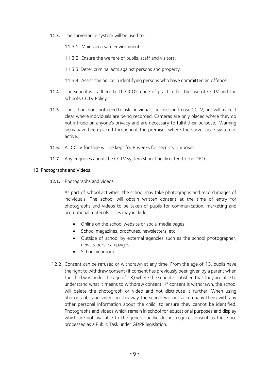- 11.3. The surveillance system will be used to:
	- 11.3.1. Maintain a safe environment.
	- 11.3.2. Ensure the welfare of pupils, staff and visitors.
	- 11.3.3. Deter criminal acts against persons and property.
	- 11.3.4. Assist the police in identifying persons who have committed an offence.
- 11.4. The school will adhere to the ICO's code of practice for the use of CCTV and the school's CCTV Policy.
- 11.5. The school does not need to ask individuals' permission to use CCTV, but will make it clear where individuals are being recorded. Cameras are only placed where they do not intrude on anyone's privacy and are necessary to fulfil their purpose. Warning signs have been placed throughout the premises where the surveillance system is active.
- 11.6. All CCTV footage will be kept for 8 weeks for security purposes.
- 11.7. Any enquiries about the CCTV system should be directed to the DPO.

#### 12. Photographs and Videos

12.1. Photographs and videos

As part of school activities, the school may take photographs and record images of individuals. The school will obtain written consent at the time of entry for photographs and videos to be taken of pupils for communication, marketing and promotional materials. Uses may include:

- Online on the school website or social media pages
- School magazines, brochures, newsletters, etc.
- Outside of school by external agencies such as the school photographer, newspapers, campaigns
- School yearbook
- 12.2 Consent can be refused or withdrawn at any time. From the age of 13, pupils have the right to withdraw consent (if consent has previously been given by a parent when the child was under the age of 13) where the school is satisfied that they are able to understand what it means to withdraw consent. If consent is withdrawn, the school will delete the photograph or video and not distribute it further. When using photographs and videos in this way the school will not accompany them with any other personal information about the child, to ensure they cannot be identified. Photographs and videos which remain in school for educational purposes and display which are not available to the general public do not require consent as these are processed as a Public Task under GDPR legislation.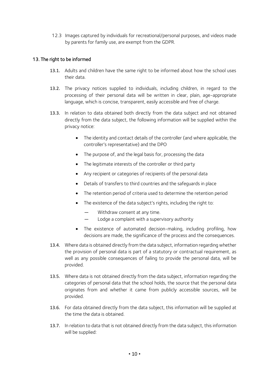12.3 Images captured by individuals for recreational/personal purposes, and videos made by parents for family use, are exempt from the GDPR.

# 13. The right to be informed

- 13.1. Adults and children have the same right to be informed about how the school uses their data.
- 13.2. The privacy notices supplied to individuals, including children, in regard to the processing of their personal data will be written in clear, plain, age-appropriate language, which is concise, transparent, easily accessible and free of charge.
- 13.3. In relation to data obtained both directly from the data subject and not obtained directly from the data subject, the following information will be supplied within the privacy notice:
	- The identity and contact details of the controller (and where applicable, the controller's representative) and the DPO
	- The purpose of, and the legal basis for, processing the data
	- The legitimate interests of the controller or third party
	- Any recipient or categories of recipients of the personal data
	- Details of transfers to third countries and the safeguards in place
	- The retention period of criteria used to determine the retention period
	- The existence of the data subject's rights, including the right to:
		- Withdraw consent at any time.
		- Lodge a complaint with a supervisory authority
	- The existence of automated decision-making, including profiling, how decisions are made, the significance of the process and the consequences.
- 13.4. Where data is obtained directly from the data subject, information regarding whether the provision of personal data is part of a statutory or contractual requirement, as well as any possible consequences of failing to provide the personal data, will be provided.
- 13.5. Where data is not obtained directly from the data subject, information regarding the categories of personal data that the school holds, the source that the personal data originates from and whether it came from publicly accessible sources, will be provided.
- 13.6. For data obtained directly from the data subject, this information will be supplied at the time the data is obtained.
- 13.7. In relation to data that is not obtained directly from the data subject, this information will be supplied: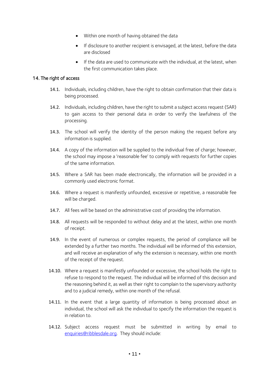- Within one month of having obtained the data
- If disclosure to another recipient is envisaged, at the latest, before the data are disclosed
- If the data are used to communicate with the individual, at the latest, when the first communication takes place.

## <span id="page-13-0"></span>14. The right of access

- 14.1. Individuals, including children, have the right to obtain confirmation that their data is being processed.
- 14.2. Individuals, including children, have the right to submit a subject access request (SAR) to gain access to their personal data in order to verify the lawfulness of the processing.
- 14.3. The school will verify the identity of the person making the request before any information is supplied.
- 14.4. A copy of the information will be supplied to the individual free of charge; however, the school may impose a 'reasonable fee' to comply with requests for further copies of the same information.
- 14.5. Where a SAR has been made electronically, the information will be provided in a commonly used electronic format.
- 14.6. Where a request is manifestly unfounded, excessive or repetitive, a reasonable fee will be charged.
- 14.7. All fees will be based on the administrative cost of providing the information.
- 14.8. All requests will be responded to without delay and at the latest, within one month of receipt.
- 14.9. In the event of numerous or complex requests, the period of compliance will be extended by a further two months. The individual will be informed of this extension, and will receive an explanation of why the extension is necessary, within one month of the receipt of the request.
- 14.10. Where a request is manifestly unfounded or excessive, the school holds the right to refuse to respond to the request. The individual will be informed of this decision and the reasoning behind it, as well as their right to complain to the supervisory authority and to a judicial remedy, within one month of the refusal.
- 14.11. In the event that a large quantity of information is being processed about an individual, the school will ask the individual to specify the information the request is in relation to.
- 14.12. Subject access request must be submitted in writing by email to [enquiries@ribblesdale.org.](mailto:enquiries@ribblesdale.org) They should include: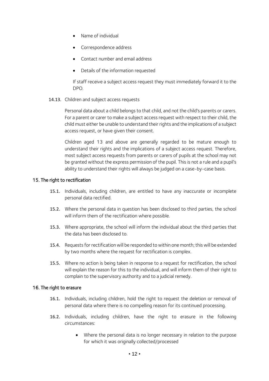- Name of individual
- Correspondence address
- Contact number and email address
- Details of the information requested

If staff receive a subject access request they must immediately forward it to the DPO.

14.13. Children and subject access requests

Personal data about a child belongs to that child, and not the child's parents or carers. For a parent or carer to make a subject access request with respect to their child, the child must either be unable to understand their rights and the implications of a subject access request, or have given their consent.

Children aged 13 and above are generally regarded to be mature enough to understand their rights and the implications of a subject access request. Therefore, most subject access requests from parents or carers of pupils at the school may not be granted without the express permission of the pupil. This is not a rule and a pupil's ability to understand their rights will always be judged on a case-by-case basis.

## <span id="page-14-0"></span>15. The right to rectification

- 15.1. Individuals, including children, are entitled to have any inaccurate or incomplete personal data rectified.
- 15.2. Where the personal data in question has been disclosed to third parties, the school will inform them of the rectification where possible.
- 15.3. Where appropriate, the school will inform the individual about the third parties that the data has been disclosed to.
- 15.4. Requests for rectification will be responded to within one month; this will be extended by two months where the request for rectification is complex.
- 15.5. Where no action is being taken in response to a request for rectification, the school will explain the reason for this to the individual, and will inform them of their right to complain to the supervisory authority and to a judicial remedy.

#### <span id="page-14-1"></span>16. The right to erasure

- 16.1. Individuals, including children, hold the right to request the deletion or removal of personal data where there is no compelling reason for its continued processing.
- 16.2. Individuals, including children, have the right to erasure in the following circumstances:
	- Where the personal data is no longer necessary in relation to the purpose for which it was originally collected/processed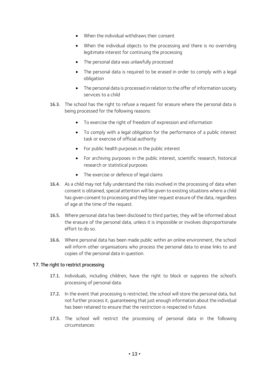- When the individual withdraws their consent
- When the individual objects to the processing and there is no overriding legitimate interest for continuing the processing
- The personal data was unlawfully processed
- The personal data is required to be erased in order to comply with a legal obligation
- The personal data is processed in relation to the offer of information society services to a child
- 16.3. The school has the right to refuse a request for erasure where the personal data is being processed for the following reasons:
	- To exercise the right of freedom of expression and information
	- To comply with a legal obligation for the performance of a public interest task or exercise of official authority
	- For public health purposes in the public interest
	- For archiving purposes in the public interest, scientific research, historical research or statistical purposes
	- The exercise or defence of legal claims
- 16.4. As a child may not fully understand the risks involved in the processing of data when consent is obtained, special attention will be given to existing situations where a child has given consent to processing and they later request erasure of the data, regardless of age at the time of the request.
- 16.5. Where personal data has been disclosed to third parties, they will be informed about the erasure of the personal data, unless it is impossible or involves disproportionate effort to do so.
- 16.6. Where personal data has been made public within an online environment, the school will inform other organisations who process the personal data to erase links to and copies of the personal data in question.

#### <span id="page-15-0"></span>17. The right to restrict processing

- 17.1. Individuals, including children, have the right to block or suppress the school's processing of personal data.
- 17.2. In the event that processing is restricted, the school will store the personal data, but not further process it, guaranteeing that just enough information about the individual has been retained to ensure that the restriction is respected in future.
- 17.3. The school will restrict the processing of personal data in the following circumstances: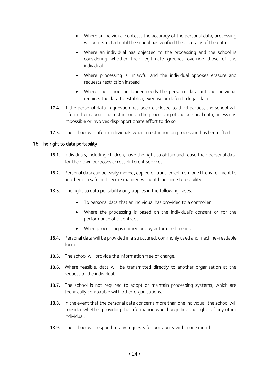- Where an individual contests the accuracy of the personal data, processing will be restricted until the school has verified the accuracy of the data
- Where an individual has objected to the processing and the school is considering whether their legitimate grounds override those of the individual
- Where processing is unlawful and the individual opposes erasure and requests restriction instead
- Where the school no longer needs the personal data but the individual requires the data to establish, exercise or defend a legal claim
- 17.4. If the personal data in question has been disclosed to third parties, the school will inform them about the restriction on the processing of the personal data, unless it is impossible or involves disproportionate effort to do so.
- 17.5. The school will inform individuals when a restriction on processing has been lifted.

## <span id="page-16-0"></span>18. The right to data portability

- 18.1. Individuals, including children, have the right to obtain and reuse their personal data for their own purposes across different services.
- 18.2. Personal data can be easily moved, copied or transferred from one IT environment to another in a safe and secure manner, without hindrance to usability.
- 18.3. The right to data portability only applies in the following cases:
	- To personal data that an individual has provided to a controller
	- Where the processing is based on the individual's consent or for the performance of a contract
	- When processing is carried out by automated means
- 18.4. Personal data will be provided in a structured, commonly used and machine-readable form.
- 18.5. The school will provide the information free of charge.
- 18.6. Where feasible, data will be transmitted directly to another organisation at the request of the individual.
- 18.7. The school is not required to adopt or maintain processing systems, which are technically compatible with other organisations.
- 18.8. In the event that the personal data concerns more than one individual, the school will consider whether providing the information would prejudice the rights of any other individual.
- 18.9. The school will respond to any requests for portability within one month.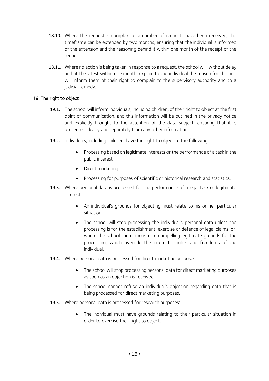- 18.10. Where the request is complex, or a number of requests have been received, the timeframe can be extended by two months, ensuring that the individual is informed of the extension and the reasoning behind it within one month of the receipt of the request.
- 18.11. Where no action is being taken in response to a request, the school will, without delay and at the latest within one month, explain to the individual the reason for this and will inform them of their right to complain to the supervisory authority and to a judicial remedy.

# <span id="page-17-0"></span>19. The right to object

- 19.1. The school will inform individuals, including children, of their right to object at the first point of communication, and this information will be outlined in the privacy notice and explicitly brought to the attention of the data subject, ensuring that it is presented clearly and separately from any other information.
- 19.2. Individuals, including children, have the right to object to the following:
	- Processing based on legitimate interests or the performance of a task in the public interest
	- Direct marketing
	- Processing for purposes of scientific or historical research and statistics.
- 19.3. Where personal data is processed for the performance of a legal task or legitimate interests:
	- An individual's grounds for objecting must relate to his or her particular situation.
	- The school will stop processing the individual's personal data unless the processing is for the establishment, exercise or defence of legal claims, or, where the school can demonstrate compelling legitimate grounds for the processing, which override the interests, rights and freedoms of the individual.
- 19.4. Where personal data is processed for direct marketing purposes:
	- The school will stop processing personal data for direct marketing purposes as soon as an objection is received.
	- The school cannot refuse an individual's objection regarding data that is being processed for direct marketing purposes.
- 19.5. Where personal data is processed for research purposes:
	- The individual must have grounds relating to their particular situation in order to exercise their right to object.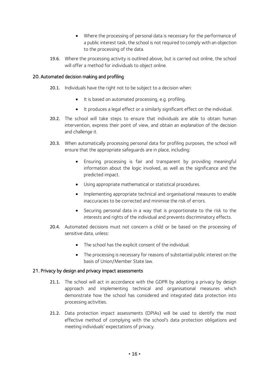- Where the processing of personal data is necessary for the performance of a public interest task, the school is not required to comply with an objection to the processing of the data.
- 19.6. Where the processing activity is outlined above, but is carried out online, the school will offer a method for individuals to object online.

## <span id="page-18-0"></span>20. Automated decision making and profiling

- 20.1. Individuals have the right not to be subject to a decision when:
	- It is based on automated processing, e.g. profiling.
	- It produces a legal effect or a similarly significant effect on the individual.
- 20.2. The school will take steps to ensure that individuals are able to obtain human intervention, express their point of view, and obtain an explanation of the decision and challenge it.
- 20.3. When automatically processing personal data for profiling purposes, the school will ensure that the appropriate safeguards are in place, including:
	- Ensuring processing is fair and transparent by providing meaningful information about the logic involved, as well as the significance and the predicted impact.
	- Using appropriate mathematical or statistical procedures.
	- Implementing appropriate technical and organisational measures to enable inaccuracies to be corrected and minimise the risk of errors.
	- Securing personal data in a way that is proportionate to the risk to the interests and rights of the individual and prevents discriminatory effects.
- 20.4. Automated decisions must not concern a child or be based on the processing of sensitive data, unless:
	- The school has the explicit consent of the individual.
	- The processing is necessary for reasons of substantial public interest on the basis of Union/Member State law.

#### <span id="page-18-1"></span>21. Privacy by design and privacy impact assessments

- 21.1. The school will act in accordance with the GDPR by adopting a privacy by design approach and implementing technical and organisational measures which demonstrate how the school has considered and integrated data protection into processing activities.
- 21.2. Data protection impact assessments (DPIAs) will be used to identify the most effective method of complying with the school's data protection obligations and meeting individuals' expectations of privacy.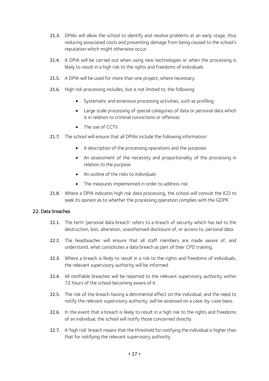- 21.3. DPIAs will allow the school to identify and resolve problems at an early stage, thus reducing associated costs and preventing damage from being caused to the school's reputation which might otherwise occur.
- 21.4. A DPIA will be carried out when using new technologies or when the processing is likely to result in a high risk to the rights and freedoms of individuals.
- 21.5. A DPIA will be used for more than one project, where necessary.
- 21.6. High risk processing includes, but is not limited to, the following:
	- Systematic and extensive processing activities, such as profiling
	- Large scale processing of special categories of data or personal data which is in relation to criminal convictions or offences
	- The use of CCTV.
- 21.7. The school will ensure that all DPIAs include the following information:
	- A description of the processing operations and the purposes
	- An assessment of the necessity and proportionality of the processing in relation to the purpose
	- An outline of the risks to individuals
	- The measures implemented in order to address risk
- 21.8. Where a DPIA indicates high risk data processing, the school will consult the ICO to seek its opinion as to whether the processing operation complies with the GDPR.

#### <span id="page-19-0"></span>22. Data breaches

- 22.1. The term 'personal data breach' refers to a breach of security which has led to the destruction, loss, alteration, unauthorised disclosure of, or access to, personal data.
- 22.2. The headteacher will ensure that all staff members are made aware of, and understand, what constitutes a data breach as part of their CPD training.
- 22.3. Where a breach is likely to result in a risk to the rights and freedoms of individuals, the relevant supervisory authority will be informed.
- 22.4. All notifiable breaches will be reported to the relevant supervisory authority within 72 hours of the school becoming aware of it.
- 22.5. The risk of the breach having a detrimental effect on the individual, and the need to notify the relevant supervisory authority, will be assessed on a case-by-case basis.
- 22.6. In the event that a breach is likely to result in a high risk to the rights and freedoms of an individual, the school will notify those concerned directly.
- 22.7. A 'high risk' breach means that the threshold for notifying the individual is higher than that for notifying the relevant supervisory authority.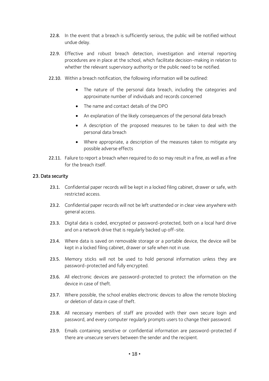- 22.8. In the event that a breach is sufficiently serious, the public will be notified without undue delay.
- 22.9. Effective and robust breach detection, investigation and internal reporting procedures are in place at the school, which facilitate decision-making in relation to whether the relevant supervisory authority or the public need to be notified.
- 22.10. Within a breach notification, the following information will be outlined:
	- The nature of the personal data breach, including the categories and approximate number of individuals and records concerned
	- The name and contact details of the DPO
	- An explanation of the likely consequences of the personal data breach
	- A description of the proposed measures to be taken to deal with the personal data breach
	- Where appropriate, a description of the measures taken to mitigate any possible adverse effects
- 22.11. Failure to report a breach when required to do so may result in a fine, as well as a fine for the breach itself.

#### <span id="page-20-0"></span>23. Data security

- 23.1. Confidential paper records will be kept in a locked filing cabinet, drawer or safe, with restricted access.
- 23.2. Confidential paper records will not be left unattended or in clear view anywhere with general access.
- 23.3. Digital data is coded, encrypted or password-protected, both on a local hard drive and on a network drive that is regularly backed up off-site.
- 23.4. Where data is saved on removable storage or a portable device, the device will be kept in a locked filing cabinet, drawer or safe when not in use.
- 23.5. Memory sticks will not be used to hold personal information unless they are password-protected and fully encrypted.
- 23.6. All electronic devices are password-protected to protect the information on the device in case of theft.
- 23.7. Where possible, the school enables electronic devices to allow the remote blocking or deletion of data in case of theft.
- 23.8. All necessary members of staff are provided with their own secure login and password, and every computer regularly prompts users to change their password.
- 23.9. Emails containing sensitive or confidential information are password-protected if there are unsecure servers between the sender and the recipient.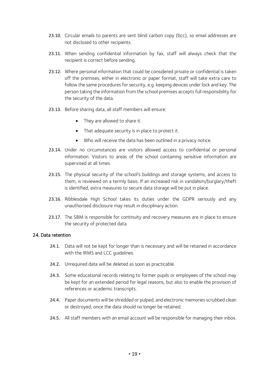- 23.10. Circular emails to parents are sent blind carbon copy (bcc), so email addresses are not disclosed to other recipients.
- 23.11. When sending confidential information by fax, staff will always check that the recipient is correct before sending.
- 23.12. Where personal information that could be considered private or confidential is taken off the premises, either in electronic or paper format, staff will take extra care to follow the same procedures for security, e.g. keeping devices under lock and key. The person taking the information from the school premises accepts full responsibility for the security of the data.
- 23.13. Before sharing data, all staff members will ensure:
	- They are allowed to share it.
	- That adequate security is in place to protect it.
	- Who will receive the data has been outlined in a privacy notice.
- 23.14. Under no circumstances are visitors allowed access to confidential or personal information. Visitors to areas of the school containing sensitive information are supervised at all times.
- 23.15. The physical security of the school's buildings and storage systems, and access to them, is reviewed on a termly basis. If an increased risk in vandalism/burglary/theft is identified, extra measures to secure data storage will be put in place.
- 23.16. Ribblesdale High School takes its duties under the GDPR seriously and any unauthorised disclosure may result in disciplinary action.
- 23.17. The SBM is responsible for continuity and recovery measures are in place to ensure the security of protected data.

#### <span id="page-21-0"></span>24. Data retention

- 24.1. Data will not be kept for longer than is necessary and will be retained in accordance with the IRMS and LCC guidelines.
- 24.2. Unrequired data will be deleted as soon as practicable.
- 24.3. Some educational records relating to former pupils or employees of the school may be kept for an extended period for legal reasons, but also to enable the provision of references or academic transcripts.
- 24.4. Paper documents will be shredded or pulped, and electronic memories scrubbed clean or destroyed, once the data should no longer be retained.
- 24.5. All staff members with an email account will be responsible for managing their inbox.